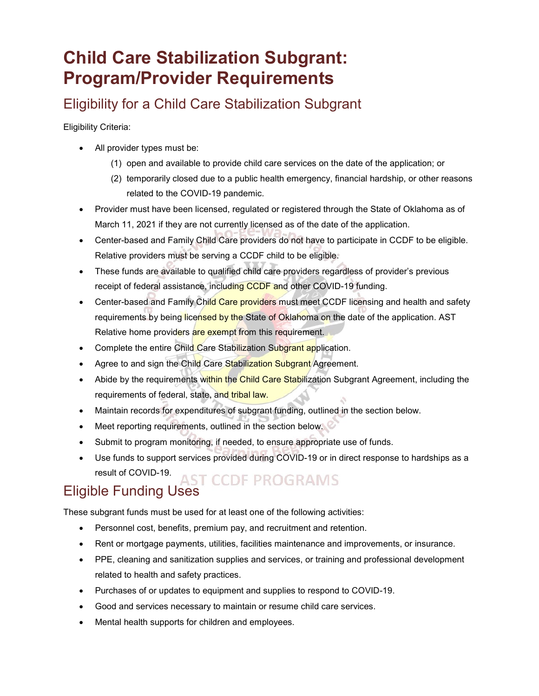# **Child Care Stabilization Subgrant: Program/Provider Requirements**

## Eligibility for a Child Care Stabilization Subgrant

Eligibility Criteria:

- All provider types must be:
	- (1) open and available to provide child care services on the date of the application; or
	- (2) temporarily closed due to a public health emergency, financial hardship, or other reasons related to the COVID-19 pandemic.
- Provider must have been licensed, regulated or registered through the State of Oklahoma as of March 11, 2021 if they are not currently licensed as of the date of the application.
- Center-based and Family Child Care providers do not have to participate in CCDF to be eligible. Relative providers must be serving a CCDF child to be eligible.
- These funds are available to qualified child care providers regardless of provider's previous receipt of federal assistance, including CCDF and other COVID-19 funding.
- Center-based and Family Child Care providers must meet CCDF licensing and health and safety requirements by being licensed by the State of Oklahoma on the date of the application. AST Relative home providers are exempt from this requirement.
- Complete the entire Child Care Stabilization Subgrant application.
- Agree to and sign the Child Care Stabilization Subgrant Agreement.
- Abide by the requirements within the Child Care Stabilization Subgrant Agreement, including the requirements of federal, state, and tribal law.
- Maintain records for expenditures of subgrant funding, outlined in the section below.
- Meet reporting requirements, outlined in the section below.
- Submit to program monitoring, if needed, to ensure appropriate use of funds.
- Use funds to support services provided during COVID-19 or in direct response to hardships as a result of COVID-19.

#### **ST CCDE PROGRAMS** Eligible Funding Uses

These subgrant funds must be used for at least one of the following activities:

- Personnel cost, benefits, premium pay, and recruitment and retention.
- Rent or mortgage payments, utilities, facilities maintenance and improvements, or insurance.
- PPE, cleaning and sanitization supplies and services, or training and professional development related to health and safety practices.
- Purchases of or updates to equipment and supplies to respond to COVID-19.
- Good and services necessary to maintain or resume child care services.
- Mental health supports for children and employees.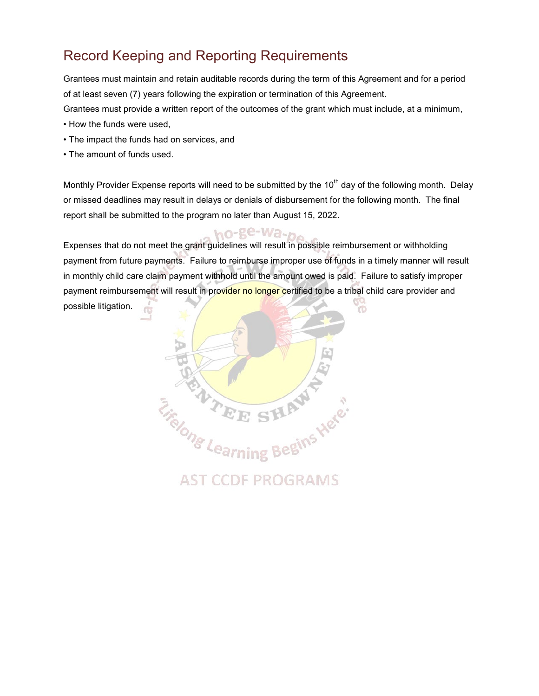## Record Keeping and Reporting Requirements

Grantees must maintain and retain auditable records during the term of this Agreement and for a period of at least seven (7) years following the expiration or termination of this Agreement. Grantees must provide a written report of the outcomes of the grant which must include, at a minimum,

- How the funds were used,
- The impact the funds had on services, and
- The amount of funds used.

Monthly Provider Expense reports will need to be submitted by the 10<sup>th</sup> day of the following month. Delay or missed deadlines may result in delays or denials of disbursement for the following month. The final report shall be submitted to the program no later than August 15, 2022.

ho-ge-Wa-n. Expenses that do not meet the grant guidelines will result in possible reimbursement or withholding payment from future payments. Failure to reimburse improper use of funds in a timely manner will result in monthly child care claim payment withhold until the amount owed is paid. Failure to satisfy improper payment reimbursement will result in provider no longer certified to be a tribal child care provider and possible litigation.  $\circ$ Ō,